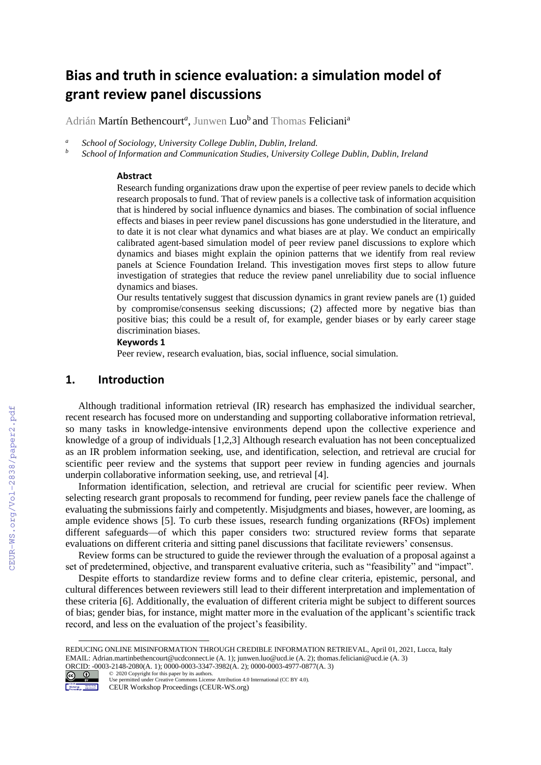# **Bias and truth in science evaluation: a simulation model of grant review panel discussions**

Adrián Martín Bethencourt<sup>a</sup>, Junwen Luo<sup>b</sup> and Thomas Feliciani<sup>a</sup>

*<sup>a</sup> School of Sociology, University College Dublin, Dublin, Ireland.* 

*<sup>b</sup> School of Information and Communication Studies, University College Dublin, Dublin, Ireland*

#### **Abstract**

Research funding organizations draw upon the expertise of peer review panels to decide which research proposals to fund. That of review panels is a collective task of information acquisition that is hindered by social influence dynamics and biases. The combination of social influence effects and biases in peer review panel discussions has gone understudied in the literature, and to date it is not clear what dynamics and what biases are at play. We conduct an empirically calibrated agent-based simulation model of peer review panel discussions to explore which dynamics and biases might explain the opinion patterns that we identify from real review panels at Science Foundation Ireland. This investigation moves first steps to allow future investigation of strategies that reduce the review panel unreliability due to social influence dynamics and biases.

Our results tentatively suggest that discussion dynamics in grant review panels are (1) guided by compromise/consensus seeking discussions; (2) affected more by negative bias than positive bias; this could be a result of, for example, gender biases or by early career stage discrimination biases.

#### **Keywords 1**

Peer review, research evaluation, bias, social influence, social simulation.

# **1. Introduction**

Although traditional information retrieval (IR) research has emphasized the individual searcher, recent research has focused more on understanding and supporting collaborative information retrieval, so many tasks in knowledge-intensive environments depend upon the collective experience and knowledge of a group of individuals [1,2,3] Although research evaluation has not been conceptualized as an IR problem information seeking, use, and identification, selection, and retrieval are crucial for scientific peer review and the systems that support peer review in funding agencies and journals underpin collaborative information seeking, use, and retrieval [4].

Information identification, selection, and retrieval are crucial for scientific peer review. When selecting research grant proposals to recommend for funding, peer review panels face the challenge of evaluating the submissions fairly and competently. Misjudgments and biases, however, are looming, as ample evidence shows [5]. To curb these issues, research funding organizations (RFOs) implement different safeguards—of which this paper considers two: structured review forms that separate evaluations on different criteria and sitting panel discussions that facilitate reviewers' consensus.

Review forms can be structured to guide the reviewer through the evaluation of a proposal against a set of predetermined, objective, and transparent evaluative criteria, such as "feasibility" and "impact".

Despite efforts to standardize review forms and to define clear criteria, epistemic, personal, and cultural differences between reviewers still lead to their different interpretation and implementation of these criteria [6]. Additionally, the evaluation of different criteria might be subject to different sources of bias; gender bias, for instance, might matter more in the evaluation of the applicant's scientific track record, and less on the evaluation of the project's feasibility.

ORCID:  $-0003-2148-2080(A. 1)$ ; 0000-0003-3347-3982(A. 2); 0000-0003-4977-0877(A. 3)<br>  $\bigodot \bigodot$   $\bigodot$   $\bigodot$  Executive Creative Creative Commons License Attribution 4.0 Intermetional (CC BY 4.0) ©️ 2020 Copyright for this paper by its authors.



Use permitted under Creative Commons License Attribution 4.0 International (CC BY 4.0). CEUR Workshop Proceedings (CEUR-WS.org)

REDUCING ONLINE MISINFORMATION THROUGH CREDIBLE INFORMATION RETRIEVAL, April 01, 2021, Lucca, Italy EMAIL: Adrian.martinbethencourt@ucdconnect.ie (A. 1); junwen.luo@ucd.ie (A. 2); thomas.feliciani@ucd.ie (A. 3)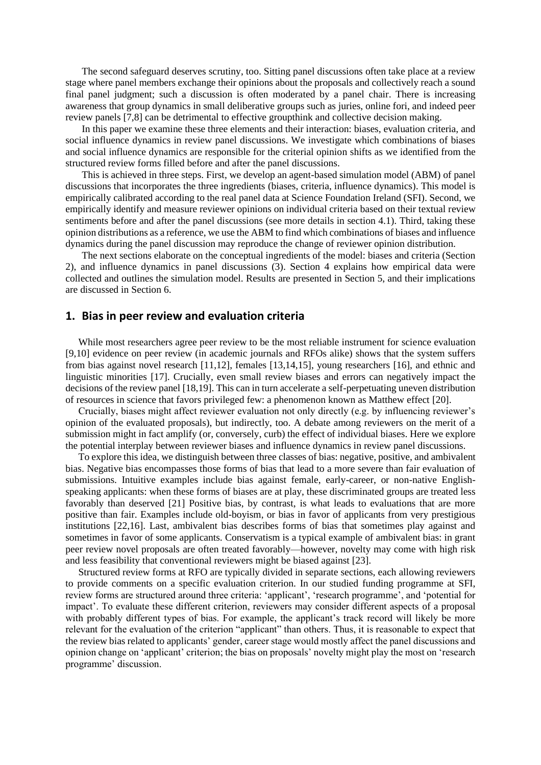The second safeguard deserves scrutiny, too. Sitting panel discussions often take place at a review stage where panel members exchange their opinions about the proposals and collectively reach a sound final panel judgment; such a discussion is often moderated by a panel chair. There is increasing awareness that group dynamics in small deliberative groups such as juries, online fori, and indeed peer review panels [7,8] can be detrimental to effective groupthink and collective decision making.

In this paper we examine these three elements and their interaction: biases, evaluation criteria, and social influence dynamics in review panel discussions. We investigate which combinations of biases and social influence dynamics are responsible for the criterial opinion shifts as we identified from the structured review forms filled before and after the panel discussions.

This is achieved in three steps. First, we develop an agent-based simulation model (ABM) of panel discussions that incorporates the three ingredients (biases, criteria, influence dynamics). This model is empirically calibrated according to the real panel data at Science Foundation Ireland (SFI). Second, we empirically identify and measure reviewer opinions on individual criteria based on their textual review sentiments before and after the panel discussions (see more details in section 4.1). Third, taking these opinion distributions as a reference, we use the ABM to find which combinations of biases and influence dynamics during the panel discussion may reproduce the change of reviewer opinion distribution.

The next sections elaborate on the conceptual ingredients of the model: biases and criteria (Section 2), and influence dynamics in panel discussions (3). Section 4 explains how empirical data were collected and outlines the simulation model. Results are presented in Section 5, and their implications are discussed in Section 6.

## **1. Bias in peer review and evaluation criteria**

While most researchers agree peer review to be the most reliable instrument for science evaluation [9,10] evidence on peer review (in academic journals and RFOs alike) shows that the system suffers from bias against novel research [11,12], females [13,14,15], young researchers [16], and ethnic and linguistic minorities [17]. Crucially, even small review biases and errors can negatively impact the decisions of the review panel [18,19]. This can in turn accelerate a self-perpetuating uneven distribution of resources in science that favors privileged few: a phenomenon known as Matthew effect [20].

Crucially, biases might affect reviewer evaluation not only directly (e.g. by influencing reviewer's opinion of the evaluated proposals), but indirectly, too. A debate among reviewers on the merit of a submission might in fact amplify (or, conversely, curb) the effect of individual biases. Here we explore the potential interplay between reviewer biases and influence dynamics in review panel discussions.

To explore this idea, we distinguish between three classes of bias: negative, positive, and ambivalent bias. Negative bias encompasses those forms of bias that lead to a more severe than fair evaluation of submissions. Intuitive examples include bias against female, early-career, or non-native Englishspeaking applicants: when these forms of biases are at play, these discriminated groups are treated less favorably than deserved [21] Positive bias, by contrast, is what leads to evaluations that are more positive than fair. Examples include old-boyism, or bias in favor of applicants from very prestigious institutions [22,16]. Last, ambivalent bias describes forms of bias that sometimes play against and sometimes in favor of some applicants. Conservatism is a typical example of ambivalent bias: in grant peer review novel proposals are often treated favorably—however, novelty may come with high risk and less feasibility that conventional reviewers might be biased against [23].

Structured review forms at RFO are typically divided in separate sections, each allowing reviewers to provide comments on a specific evaluation criterion. In our studied funding programme at SFI, review forms are structured around three criteria: 'applicant', 'research programme', and 'potential for impact'. To evaluate these different criterion, reviewers may consider different aspects of a proposal with probably different types of bias. For example, the applicant's track record will likely be more relevant for the evaluation of the criterion "applicant" than others. Thus, it is reasonable to expect that the review bias related to applicants' gender, career stage would mostly affect the panel discussions and opinion change on 'applicant' criterion; the bias on proposals' novelty might play the most on 'research programme' discussion.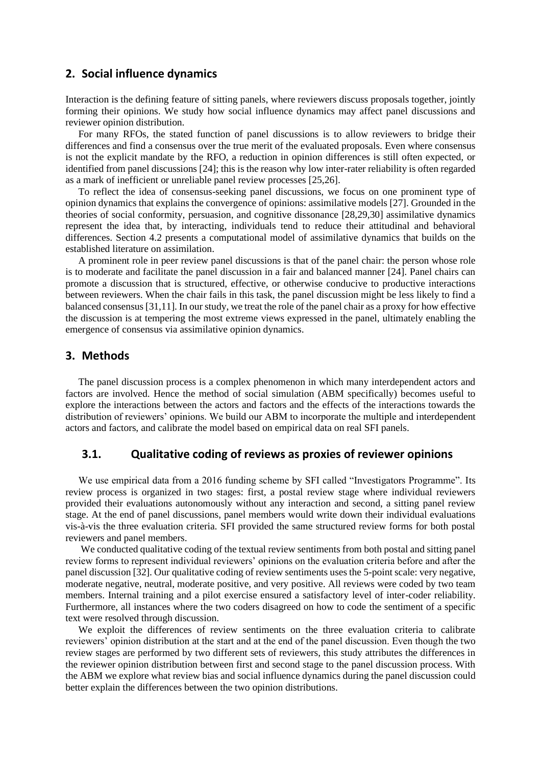### **2. Social influence dynamics**

Interaction is the defining feature of sitting panels, where reviewers discuss proposals together, jointly forming their opinions. We study how social influence dynamics may affect panel discussions and reviewer opinion distribution.

For many RFOs, the stated function of panel discussions is to allow reviewers to bridge their differences and find a consensus over the true merit of the evaluated proposals. Even where consensus is not the explicit mandate by the RFO, a reduction in opinion differences is still often expected, or identified from panel discussions [24]; this is the reason why low inter-rater reliability is often regarded as a mark of inefficient or unreliable panel review processes [25,26].

To reflect the idea of consensus-seeking panel discussions, we focus on one prominent type of opinion dynamics that explains the convergence of opinions: assimilative models [27]. Grounded in the theories of social conformity, persuasion, and cognitive dissonance [28,29,30] assimilative dynamics represent the idea that, by interacting, individuals tend to reduce their attitudinal and behavioral differences. Section 4.2 presents a computational model of assimilative dynamics that builds on the established literature on assimilation.

A prominent role in peer review panel discussions is that of the panel chair: the person whose role is to moderate and facilitate the panel discussion in a fair and balanced manner [24]. Panel chairs can promote a discussion that is structured, effective, or otherwise conducive to productive interactions between reviewers. When the chair fails in this task, the panel discussion might be less likely to find a balanced consensus [31,11]. In our study, we treat the role of the panel chair as a proxy for how effective the discussion is at tempering the most extreme views expressed in the panel, ultimately enabling the emergence of consensus via assimilative opinion dynamics.

# **3. Methods**

The panel discussion process is a complex phenomenon in which many interdependent actors and factors are involved. Hence the method of social simulation (ABM specifically) becomes useful to explore the interactions between the actors and factors and the effects of the interactions towards the distribution of reviewers' opinions. We build our ABM to incorporate the multiple and interdependent actors and factors, and calibrate the model based on empirical data on real SFI panels.

# **3.1. Qualitative coding of reviews as proxies of reviewer opinions**

We use empirical data from a 2016 funding scheme by SFI called "Investigators Programme". Its review process is organized in two stages: first, a postal review stage where individual reviewers provided their evaluations autonomously without any interaction and second, a sitting panel review stage. At the end of panel discussions, panel members would write down their individual evaluations vis-à-vis the three evaluation criteria. SFI provided the same structured review forms for both postal reviewers and panel members.

We conducted qualitative coding of the textual review sentiments from both postal and sitting panel review forms to represent individual reviewers' opinions on the evaluation criteria before and after the panel discussion [32]. Our qualitative coding of review sentiments uses the 5-point scale: very negative, moderate negative, neutral, moderate positive, and very positive. All reviews were coded by two team members. Internal training and a pilot exercise ensured a satisfactory level of inter-coder reliability. Furthermore, all instances where the two coders disagreed on how to code the sentiment of a specific text were resolved through discussion.

We exploit the differences of review sentiments on the three evaluation criteria to calibrate reviewers' opinion distribution at the start and at the end of the panel discussion. Even though the two review stages are performed by two different sets of reviewers, this study attributes the differences in the reviewer opinion distribution between first and second stage to the panel discussion process. With the ABM we explore what review bias and social influence dynamics during the panel discussion could better explain the differences between the two opinion distributions.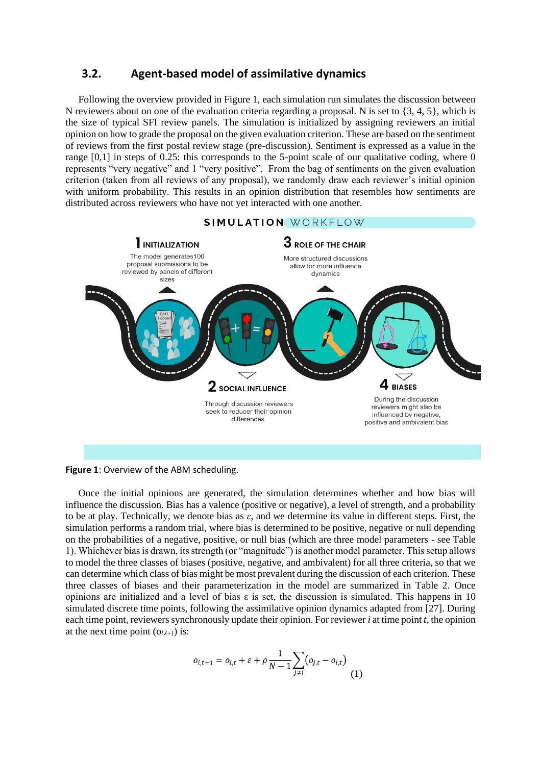# **3.2. Agent-based model of assimilative dynamics**

Following the overview provided in Figure 1, each simulation run simulates the discussion between N reviewers about on one of the evaluation criteria regarding a proposal. N is set to  $\{3, 4, 5\}$ , which is the size of typical SFI review panels. The simulation is initialized by assigning reviewers an initial opinion on how to grade the proposal on the given evaluation criterion. These are based on the sentiment of reviews from the first postal review stage (pre-discussion). Sentiment is expressed as a value in the range [0,1] in steps of 0.25: this corresponds to the 5-point scale of our qualitative coding, where 0 represents "very negative" and 1 "very positive". From the bag of sentiments on the given evaluation criterion (taken from all reviews of any proposal), we randomly draw each reviewer's initial opinion with uniform probability. This results in an opinion distribution that resembles how sentiments are distributed across reviewers who have not yet interacted with one another.





Once the initial opinions are generated, the simulation determines whether and how bias will influence the discussion. Bias has a valence (positive or negative), a level of strength, and a probability to be at play. Technically, we denote bias as *ε*, and we determine its value in different steps. First, the simulation performs a random trial, where bias is determined to be positive, negative or null depending on the probabilities of a negative, positive, or null bias (which are three model parameters - see Table 1). Whichever bias is drawn, its strength (or "magnitude") is another model parameter. This setup allows to model the three classes of biases (positive, negative, and ambivalent) for all three criteria, so that we can determine which class of bias might be most prevalent during the discussion of each criterion. These three classes of biases and their parameterization in the model are summarized in Table 2. Once opinions are initialized and a level of bias ε is set, the discussion is simulated. This happens in 10 simulated discrete time points, following the assimilative opinion dynamics adapted from [27]. During each time point, reviewers synchronously update their opinion. For reviewer *i* at time point *t*, the opinion at the next time point  $(o_{i,t+1})$  is:

$$
o_{i,t+1} = o_{i,t} + \varepsilon + \rho \frac{1}{N-1} \sum_{j \neq i} (o_{j,t} - o_{i,t})
$$
\n(1)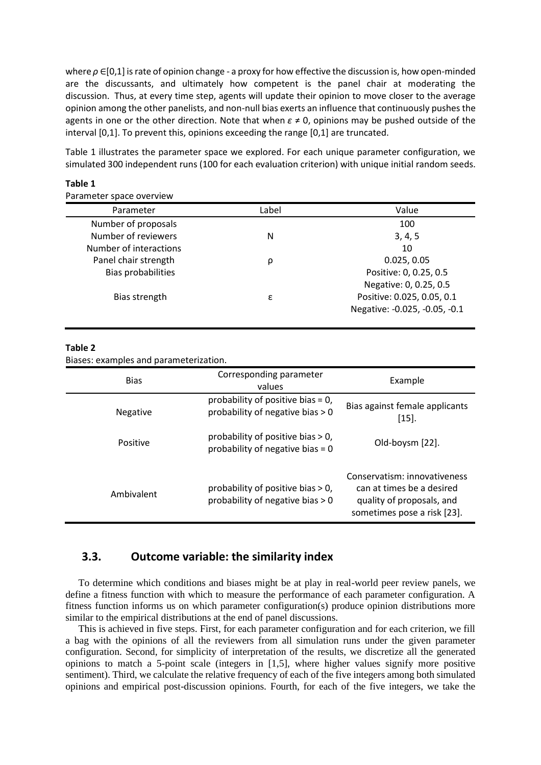where *ρ* ∈[0,1] is rate of opinion change - a proxy for how effective the discussion is, how open-minded are the discussants, and ultimately how competent is the panel chair at moderating the discussion. Thus, at every time step, agents will update their opinion to move closer to the average opinion among the other panelists, and non-null bias exerts an influence that continuously pushes the agents in one or the other direction. Note that when *ε* ≠ 0, opinions may be pushed outside of the interval [0,1]. To prevent this, opinions exceeding the range [0,1] are truncated.

Table 1 illustrates the parameter space we explored. For each unique parameter configuration, we simulated 300 independent runs (100 for each evaluation criterion) with unique initial random seeds.

| Parameter space overview |       |                               |  |
|--------------------------|-------|-------------------------------|--|
| Parameter                | Label | Value                         |  |
| Number of proposals      |       | 100                           |  |
| Number of reviewers      | N     | 3, 4, 5                       |  |
| Number of interactions   |       | 10                            |  |
| Panel chair strength     | ρ     | 0.025, 0.05                   |  |
| Bias probabilities       |       | Positive: 0, 0.25, 0.5        |  |
|                          |       | Negative: 0, 0.25, 0.5        |  |
| Bias strength            | ε     | Positive: 0.025, 0.05, 0.1    |  |
|                          |       | Negative: -0.025, -0.05, -0.1 |  |

#### **Table 1**

| ahle |  |
|------|--|

Biases: examples and parameterization.

| <b>Bias</b> | Corresponding parameter<br>values                                       | Example                                                                                                               |
|-------------|-------------------------------------------------------------------------|-----------------------------------------------------------------------------------------------------------------------|
| Negative    | probability of positive bias = 0,<br>probability of negative bias > 0   | Bias against female applicants<br>$[15]$ .                                                                            |
| Positive    | probability of positive bias > 0,<br>probability of negative bias = $0$ | Old-boysm [22].                                                                                                       |
| Ambivalent  | probability of positive bias > 0,<br>probability of negative bias > 0   | Conservatism: innovativeness<br>can at times be a desired<br>quality of proposals, and<br>sometimes pose a risk [23]. |

# **3.3. Outcome variable: the similarity index**

To determine which conditions and biases might be at play in real-world peer review panels, we define a fitness function with which to measure the performance of each parameter configuration. A fitness function informs us on which parameter configuration(s) produce opinion distributions more similar to the empirical distributions at the end of panel discussions.

This is achieved in five steps. First, for each parameter configuration and for each criterion, we fill a bag with the opinions of all the reviewers from all simulation runs under the given parameter configuration. Second, for simplicity of interpretation of the results, we discretize all the generated opinions to match a 5-point scale (integers in [1,5], where higher values signify more positive sentiment). Third, we calculate the relative frequency of each of the five integers among both simulated opinions and empirical post-discussion opinions. Fourth, for each of the five integers, we take the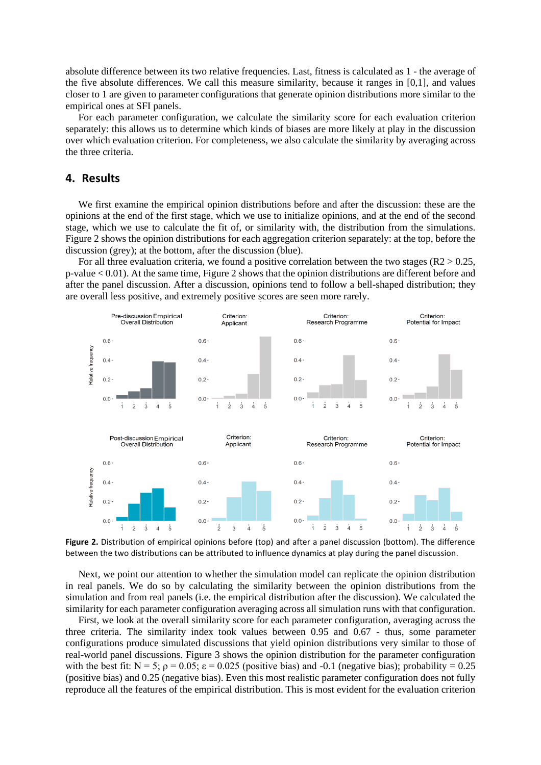absolute difference between its two relative frequencies. Last, fitness is calculated as 1 - the average of the five absolute differences. We call this measure similarity, because it ranges in [0,1], and values closer to 1 are given to parameter configurations that generate opinion distributions more similar to the empirical ones at SFI panels.

For each parameter configuration, we calculate the similarity score for each evaluation criterion separately: this allows us to determine which kinds of biases are more likely at play in the discussion over which evaluation criterion. For completeness, we also calculate the similarity by averaging across the three criteria.

## **4. Results**

We first examine the empirical opinion distributions before and after the discussion: these are the opinions at the end of the first stage, which we use to initialize opinions, and at the end of the second stage, which we use to calculate the fit of, or similarity with, the distribution from the simulations. Figure 2 shows the opinion distributions for each aggregation criterion separately: at the top, before the discussion (grey); at the bottom, after the discussion (blue).

For all three evaluation criteria, we found a positive correlation between the two stages  $(R2 > 0.25,$ p-value < 0.01). At the same time, Figure 2 shows that the opinion distributions are different before and after the panel discussion. After a discussion, opinions tend to follow a bell-shaped distribution; they are overall less positive, and extremely positive scores are seen more rarely.



**Figure 2.** Distribution of empirical opinions before (top) and after a panel discussion (bottom). The difference between the two distributions can be attributed to influence dynamics at play during the panel discussion.

Next, we point our attention to whether the simulation model can replicate the opinion distribution in real panels. We do so by calculating the similarity between the opinion distributions from the simulation and from real panels (i.e. the empirical distribution after the discussion). We calculated the similarity for each parameter configuration averaging across all simulation runs with that configuration.

First, we look at the overall similarity score for each parameter configuration, averaging across the three criteria. The similarity index took values between 0.95 and 0.67 - thus, some parameter configurations produce simulated discussions that yield opinion distributions very similar to those of real-world panel discussions. Figure 3 shows the opinion distribution for the parameter configuration with the best fit:  $N = 5$ ;  $\rho = 0.05$ ;  $\varepsilon = 0.025$  (positive bias) and -0.1 (negative bias); probability = 0.25 (positive bias) and 0.25 (negative bias). Even this most realistic parameter configuration does not fully reproduce all the features of the empirical distribution. This is most evident for the evaluation criterion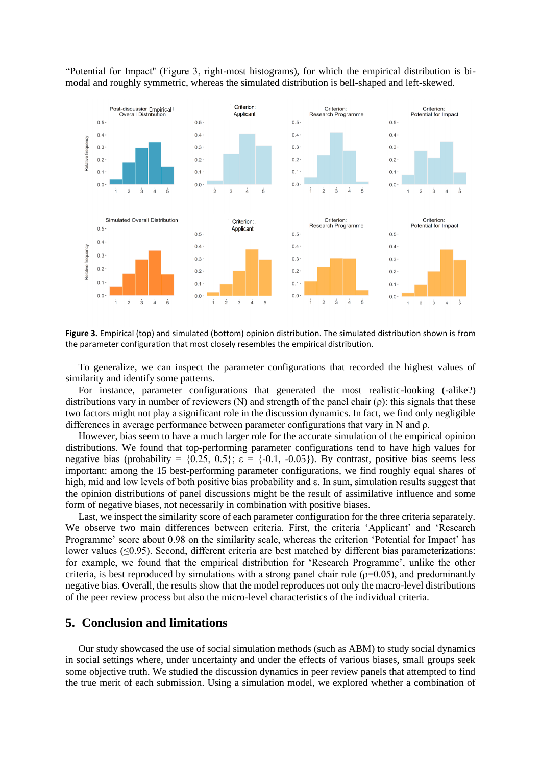"Potential for Impact'' (Figure 3, right-most histograms), for which the empirical distribution is bimodal and roughly symmetric, whereas the simulated distribution is bell-shaped and left-skewed.



**Figure 3.** Empirical (top) and simulated (bottom) opinion distribution. The simulated distribution shown is from the parameter configuration that most closely resembles the empirical distribution.

To generalize, we can inspect the parameter configurations that recorded the highest values of similarity and identify some patterns.

For instance, parameter configurations that generated the most realistic-looking (-alike?) distributions vary in number of reviewers (N) and strength of the panel chair ( $\rho$ ): this signals that these two factors might not play a significant role in the discussion dynamics. In fact, we find only negligible differences in average performance between parameter configurations that vary in N and ρ.

However, bias seem to have a much larger role for the accurate simulation of the empirical opinion distributions. We found that top-performing parameter configurations tend to have high values for negative bias (probability =  $\{0.25, 0.5\}$ ;  $\varepsilon = \{-0.1, -0.05\}$ ). By contrast, positive bias seems less important: among the 15 best-performing parameter configurations, we find roughly equal shares of high, mid and low levels of both positive bias probability and ε. In sum, simulation results suggest that the opinion distributions of panel discussions might be the result of assimilative influence and some form of negative biases, not necessarily in combination with positive biases.

Last, we inspect the similarity score of each parameter configuration for the three criteria separately. We observe two main differences between criteria. First, the criteria 'Applicant' and 'Research Programme' score about 0.98 on the similarity scale, whereas the criterion 'Potential for Impact' has lower values (≤0.95). Second, different criteria are best matched by different bias parameterizations: for example, we found that the empirical distribution for 'Research Programme', unlike the other criteria, is best reproduced by simulations with a strong panel chair role ( $p=0.05$ ), and predominantly negative bias. Overall, the results show that the model reproduces not only the macro-level distributions of the peer review process but also the micro-level characteristics of the individual criteria.

# **5. Conclusion and limitations**

Our study showcased the use of social simulation methods (such as ABM) to study social dynamics in social settings where, under uncertainty and under the effects of various biases, small groups seek some objective truth. We studied the discussion dynamics in peer review panels that attempted to find the true merit of each submission. Using a simulation model, we explored whether a combination of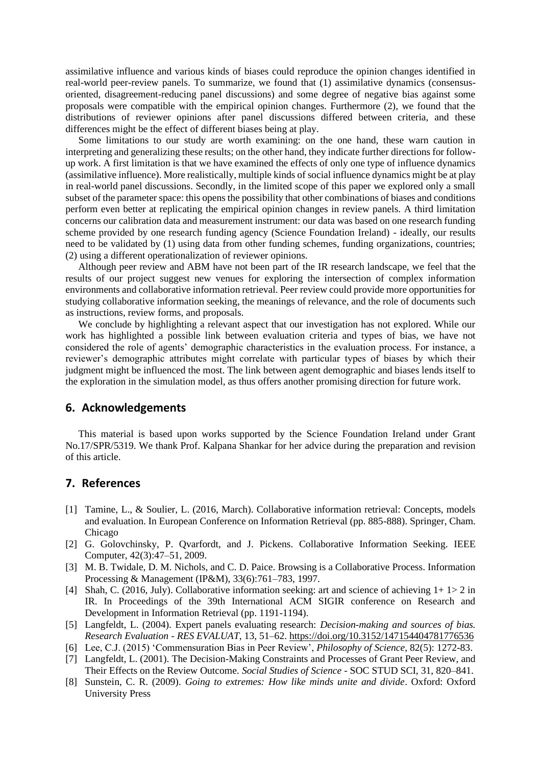assimilative influence and various kinds of biases could reproduce the opinion changes identified in real-world peer-review panels. To summarize, we found that (1) assimilative dynamics (consensusoriented, disagreement-reducing panel discussions) and some degree of negative bias against some proposals were compatible with the empirical opinion changes. Furthermore (2), we found that the distributions of reviewer opinions after panel discussions differed between criteria, and these differences might be the effect of different biases being at play.

Some limitations to our study are worth examining: on the one hand, these warn caution in interpreting and generalizing these results; on the other hand, they indicate further directions for followup work. A first limitation is that we have examined the effects of only one type of influence dynamics (assimilative influence). More realistically, multiple kinds of social influence dynamics might be at play in real-world panel discussions. Secondly, in the limited scope of this paper we explored only a small subset of the parameter space: this opens the possibility that other combinations of biases and conditions perform even better at replicating the empirical opinion changes in review panels. A third limitation concerns our calibration data and measurement instrument: our data was based on one research funding scheme provided by one research funding agency (Science Foundation Ireland) - ideally, our results need to be validated by (1) using data from other funding schemes, funding organizations, countries; (2) using a different operationalization of reviewer opinions.

Although peer review and ABM have not been part of the IR research landscape, we feel that the results of our project suggest new venues for exploring the intersection of complex information environments and collaborative information retrieval. Peer review could provide more opportunities for studying collaborative information seeking, the meanings of relevance, and the role of documents such as instructions, review forms, and proposals.

We conclude by highlighting a relevant aspect that our investigation has not explored. While our work has highlighted a possible link between evaluation criteria and types of bias, we have not considered the role of agents' demographic characteristics in the evaluation process. For instance, a reviewer's demographic attributes might correlate with particular types of biases by which their judgment might be influenced the most. The link between agent demographic and biases lends itself to the exploration in the simulation model, as thus offers another promising direction for future work.

#### **6. Acknowledgements**

This material is based upon works supported by the Science Foundation Ireland under Grant No.17/SPR/5319. We thank Prof. Kalpana Shankar for her advice during the preparation and revision of this article.

# **7. References**

- [1] Tamine, L., & Soulier, L. (2016, March). Collaborative information retrieval: Concepts, models and evaluation. In European Conference on Information Retrieval (pp. 885-888). Springer, Cham. Chicago
- [2] G. Golovchinsky, P. Qvarfordt, and J. Pickens. Collaborative Information Seeking. IEEE Computer, 42(3):47–51, 2009.
- [3] M. B. Twidale, D. M. Nichols, and C. D. Paice. Browsing is a Collaborative Process. Information Processing & Management (IP&M), 33(6):761–783, 1997.
- [4] Shah, C. (2016, July). Collaborative information seeking: art and science of achieving 1+ 1> 2 in IR. In Proceedings of the 39th International ACM SIGIR conference on Research and Development in Information Retrieval (pp. 1191-1194).
- [5] Langfeldt, L. (2004). Expert panels evaluating research: *Decision-making and sources of bias. Research Evaluation - RES EVALUAT*, 13, 51–62.<https://doi.org/10.3152/147154404781776536>
- [6] Lee, C.J. (2015) 'Commensuration Bias in Peer Review', *Philosophy of Science*, 82(5): 1272-83.
- [7] Langfeldt, L. (2001). The Decision-Making Constraints and Processes of Grant Peer Review, and Their Effects on the Review Outcome. *Social Studies of Science* - SOC STUD SCI, 31, 820–841.
- [8] Sunstein, C. R. (2009). *Going to extremes: How like minds unite and divide*. Oxford: Oxford University Press